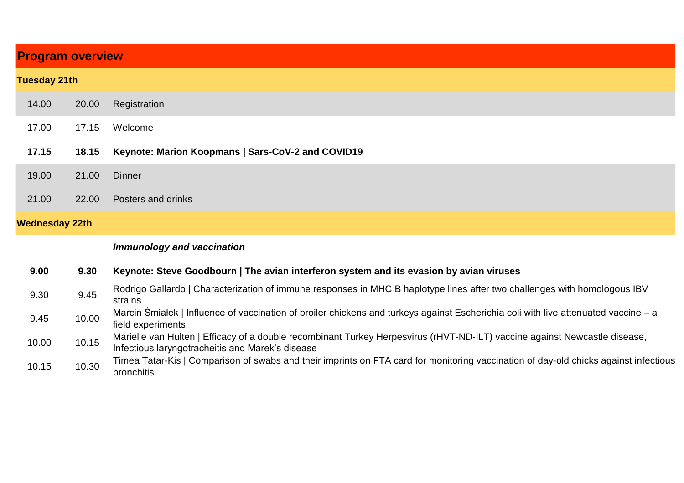| <b>Program overview</b> |               |                                                                                             |
|-------------------------|---------------|---------------------------------------------------------------------------------------------|
| <b>Tuesday 21th</b>     |               |                                                                                             |
| 14.00                   | 20.00         | Registration                                                                                |
| 17.00                   | 17.15         | Welcome                                                                                     |
| 17.15                   | 18.15         | Keynote: Marion Koopmans   Sars-CoV-2 and COVID19                                           |
| 19.00                   | 21.00         | <b>Dinner</b>                                                                               |
| 21.00                   | 22.00         | <b>Posters and drinks</b>                                                                   |
| <b>Wednesday 22th</b>   |               |                                                                                             |
|                         |               | <b>Immunology and vaccination</b>                                                           |
| n nn                    | <u>n nn L</u> | Icomete: Cterre Cendles une I The evise intentance customent its experient by evise visuale |

| 9.00 | 9.30 Keynote: Steve Goodbourn   The avian interferon system and its evasion by avian viruses                              |
|------|---------------------------------------------------------------------------------------------------------------------------|
|      | Rodrigo Gallardo I Characterization of immune responses in MHC B haplotype lines after two challenges with homologous IBV |

bronchitis

| 9.30  | 9.45  | ז עם איטעוועט דעם מיט וויטווטטעטען די האט וויז ווי פאריט ווי א די האט וויט די האט וויס איז א די האט וויס איז א                       |
|-------|-------|--------------------------------------------------------------------------------------------------------------------------------------|
|       |       | strains                                                                                                                              |
| 9.45  | 10.00 | Marcin Śmiałek   Influence of vaccination of broiler chickens and turkeys against Escherichia coli with live attenuated vaccine – a  |
|       |       | field experiments.                                                                                                                   |
|       | 10.15 | Marielle van Hulten   Efficacy of a double recombinant Turkey Herpesvirus (rHVT-ND-ILT) vaccine against Newcastle disease,           |
| 10.00 |       | Infectious laryngotracheitis and Marek's disease                                                                                     |
|       |       | Timea Tatar-Kis   Comparison of swabs and their imprints on FTA card for monitoring vaccination of day-old chicks against infectious |
| 10.15 | 10.30 | المثلثا والمرمز ومراوا                                                                                                               |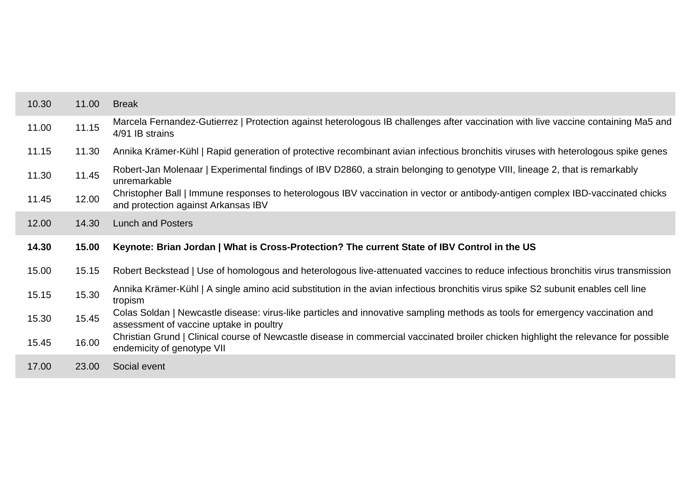| 10.30 | 11.00 | <b>Break</b>                                                                                                                                                             |
|-------|-------|--------------------------------------------------------------------------------------------------------------------------------------------------------------------------|
| 11.00 | 11.15 | Marcela Fernandez-Gutierrez   Protection against heterologous IB challenges after vaccination with live vaccine containing Ma5 and<br>4/91 IB strains                    |
| 11.15 | 11.30 | Annika Krämer-Kühl   Rapid generation of protective recombinant avian infectious bronchitis viruses with heterologous spike genes                                        |
| 11.30 | 11.45 | Robert-Jan Molenaar   Experimental findings of IBV D2860, a strain belonging to genotype VIII, lineage 2, that is remarkably<br>unremarkable                             |
| 11.45 | 12.00 | Christopher Ball   Immune responses to heterologous IBV vaccination in vector or antibody-antigen complex IBD-vaccinated chicks<br>and protection against Arkansas IBV   |
| 12.00 | 14.30 | <b>Lunch and Posters</b>                                                                                                                                                 |
|       |       |                                                                                                                                                                          |
| 14.30 | 15.00 | Keynote: Brian Jordan   What is Cross-Protection? The current State of IBV Control in the US                                                                             |
| 15.00 | 15.15 | Robert Beckstead   Use of homologous and heterologous live-attenuated vaccines to reduce infectious bronchitis virus transmission                                        |
| 15.15 | 15.30 | Annika Krämer-Kühl   A single amino acid substitution in the avian infectious bronchitis virus spike S2 subunit enables cell line<br>tropism                             |
| 15.30 | 15.45 | Colas Soldan   Newcastle disease: virus-like particles and innovative sampling methods as tools for emergency vaccination and<br>assessment of vaccine uptake in poultry |
| 15.45 | 16.00 | Christian Grund   Clinical course of Newcastle disease in commercial vaccinated broiler chicken highlight the relevance for possible<br>endemicity of genotype VII       |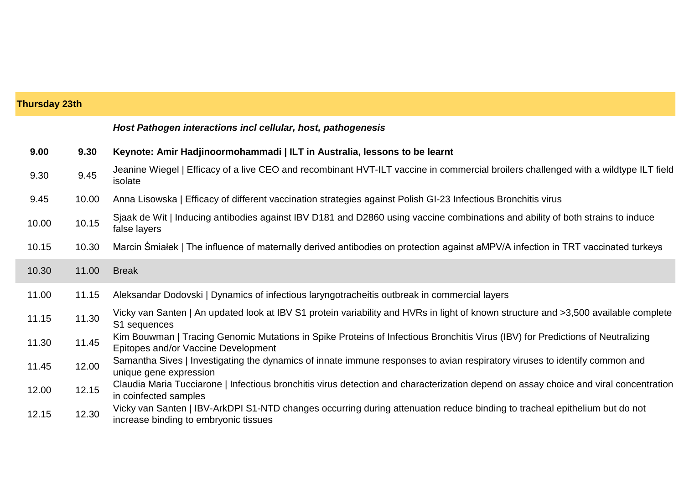| <b>Thursday 23th</b> |       |                                                                                                                                                                       |
|----------------------|-------|-----------------------------------------------------------------------------------------------------------------------------------------------------------------------|
|                      |       | Host Pathogen interactions incl cellular, host, pathogenesis                                                                                                          |
| 9.00                 | 9.30  | Keynote: Amir Hadjinoormohammadi   ILT in Australia, lessons to be learnt                                                                                             |
| 9.30                 | 9.45  | Jeanine Wiegel   Efficacy of a live CEO and recombinant HVT-ILT vaccine in commercial broilers challenged with a wildtype ILT field<br>isolate                        |
| 9.45                 | 10.00 | Anna Lisowska   Efficacy of different vaccination strategies against Polish GI-23 Infectious Bronchitis virus                                                         |
| 10.00                | 10.15 | Sjaak de Wit   Inducing antibodies against IBV D181 and D2860 using vaccine combinations and ability of both strains to induce<br>false layers                        |
| 10.15                | 10.30 | Marcin Smiałek   The influence of maternally derived antibodies on protection against aMPV/A infection in TRT vaccinated turkeys                                      |
| 10.30                | 11.00 | <b>Break</b>                                                                                                                                                          |
| 11.00                | 11.15 | Aleksandar Dodovski   Dynamics of infectious laryngotracheitis outbreak in commercial layers                                                                          |
| 11.15                | 11.30 | Vicky van Santen   An updated look at IBV S1 protein variability and HVRs in light of known structure and >3,500 available complete<br>S1 sequences                   |
| 11.30                | 11.45 | Kim Bouwman   Tracing Genomic Mutations in Spike Proteins of Infectious Bronchitis Virus (IBV) for Predictions of Neutralizing<br>Epitopes and/or Vaccine Development |
| 11.45                | 12.00 | Samantha Sives   Investigating the dynamics of innate immune responses to avian respiratory viruses to identify common and<br>unique gene expression                  |
| 12.00                | 12.15 | Claudia Maria Tucciarone   Infectious bronchitis virus detection and characterization depend on assay choice and viral concentration<br>in coinfected samples         |
| 12.15                | 12.30 | Vicky van Santen   IBV-ArkDPI S1-NTD changes occurring during attenuation reduce binding to tracheal epithelium but do not<br>increase binding to embryonic tissues   |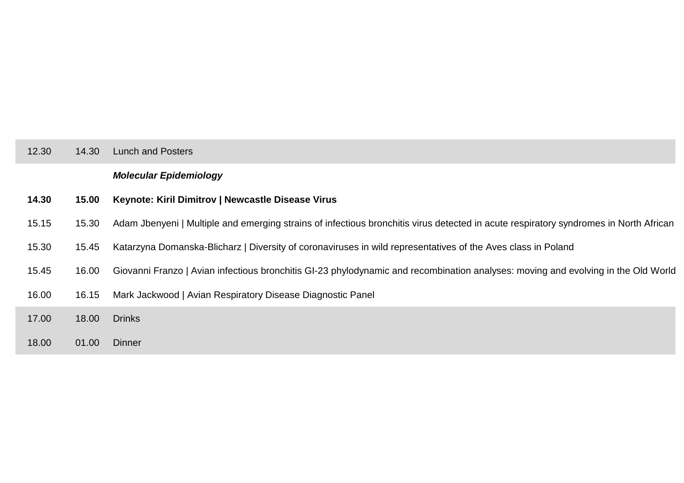| 12.30 | 14.30 | <b>Lunch and Posters</b>                                                                                                              |
|-------|-------|---------------------------------------------------------------------------------------------------------------------------------------|
|       |       | <b>Molecular Epidemiology</b>                                                                                                         |
| 14.30 | 15.00 | Keynote: Kiril Dimitrov   Newcastle Disease Virus                                                                                     |
| 15.15 | 15.30 | Adam Jbenyeni   Multiple and emerging strains of infectious bronchitis virus detected in acute respiratory syndromes in North African |
| 15.30 | 15.45 | Katarzyna Domanska-Blicharz   Diversity of coronaviruses in wild representatives of the Aves class in Poland                          |
| 15.45 | 16.00 | Giovanni Franzo   Avian infectious bronchitis GI-23 phylodynamic and recombination analyses: moving and evolving in the Old World     |
| 16.00 | 16.15 | Mark Jackwood   Avian Respiratory Disease Diagnostic Panel                                                                            |
| 17.00 | 18.00 | <b>Drinks</b>                                                                                                                         |
| 18.00 | 01.00 | <b>Dinner</b>                                                                                                                         |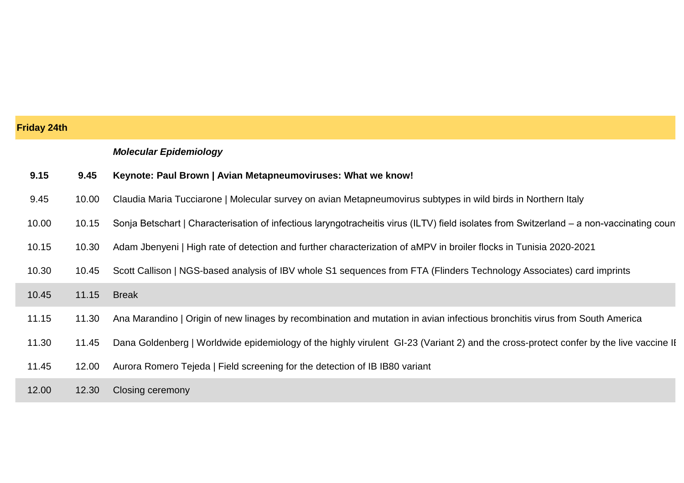| <b>Friday 24th</b> |       |                                                                                                                                          |
|--------------------|-------|------------------------------------------------------------------------------------------------------------------------------------------|
|                    |       | <b>Molecular Epidemiology</b>                                                                                                            |
| 9.15               | 9.45  | Keynote: Paul Brown   Avian Metapneumoviruses: What we know!                                                                             |
| 9.45               | 10.00 | Claudia Maria Tucciarone   Molecular survey on avian Metapneumovirus subtypes in wild birds in Northern Italy                            |
| 10.00              | 10.15 | Sonja Betschart   Characterisation of infectious laryngotracheitis virus (ILTV) field isolates from Switzerland – a non-vaccinating coun |
| 10.15              | 10.30 | Adam Jbenyeni   High rate of detection and further characterization of aMPV in broiler flocks in Tunisia 2020-2021                       |
| 10.30              | 10.45 | Scott Callison   NGS-based analysis of IBV whole S1 sequences from FTA (Flinders Technology Associates) card imprints                    |
| 10.45              | 11.15 | <b>Break</b>                                                                                                                             |
| 11.15              | 11.30 | Ana Marandino   Origin of new linages by recombination and mutation in avian infectious bronchitis virus from South America              |
| 11.30              | 11.45 | Dana Goldenberg   Worldwide epidemiology of the highly virulent GI-23 (Variant 2) and the cross-protect confer by the live vaccine II    |
| 11.45              | 12.00 | Aurora Romero Tejeda   Field screening for the detection of IB IB80 variant                                                              |
| 12.00              | 12.30 | <b>Closing ceremony</b>                                                                                                                  |